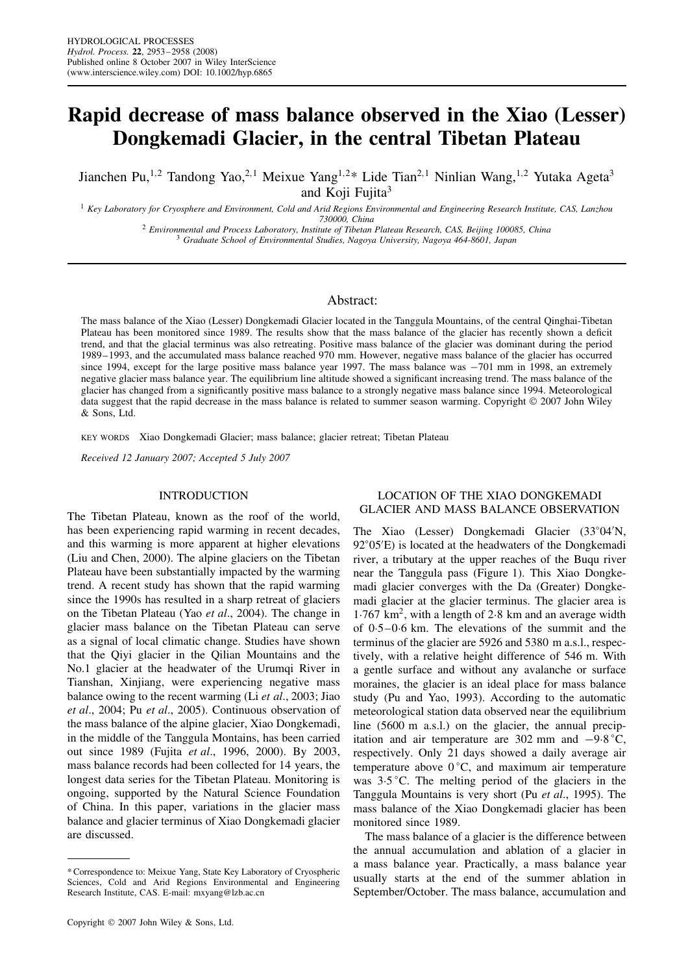# **Rapid decrease of mass balance observed in the Xiao (Lesser) Dongkemadi Glacier, in the central Tibetan Plateau**

Jianchen Pu,<sup>1,2</sup> Tandong Yao,<sup>2,1</sup> Meixue Yang<sup>1,2\*</sup> Lide Tian<sup>2,1</sup> Ninlian Wang,<sup>1,2</sup> Yutaka Ageta<sup>3</sup> and Koji Fujita<sup>3</sup>

<sup>1</sup> *Key Laboratory for Cryosphere and Environment, Cold and Arid Regions Environmental and Engineering Research Institute, CAS, Lanzhou* 730000, China<br>2 Environmental and Process Laboratory, Institute of Tibetan Plateau Research, CAS, Beijing 100085, China<br>3 Graduate School of Environmental Studies, Nagoya University, Nagoya 464-8601, Japan

## Abstract:

The mass balance of the Xiao (Lesser) Dongkemadi Glacier located in the Tanggula Mountains, of the central Qinghai-Tibetan Plateau has been monitored since 1989. The results show that the mass balance of the glacier has recently shown a deficit trend, and that the glacial terminus was also retreating. Positive mass balance of the glacier was dominant during the period 1989–1993, and the accumulated mass balance reached 970 mm. However, negative mass balance of the glacier has occurred since 1994, except for the large positive mass balance year 1997. The mass balance was  $-701$  mm in 1998, an extremely negative glacier mass balance year. The equilibrium line altitude showed a significant increasing trend. The mass balance of the glacier has changed from a significantly positive mass balance to a strongly negative mass balance since 1994. Meteorological data suggest that the rapid decrease in the mass balance is related to summer season warming. Copyright  $@$  2007 John Wiley & Sons, Ltd.

KEY WORDS Xiao Dongkemadi Glacier; mass balance; glacier retreat; Tibetan Plateau

*Received 12 January 2007; Accepted 5 July 2007*

### INTRODUCTION

The Tibetan Plateau, known as the roof of the world, has been experiencing rapid warming in recent decades, and this warming is more apparent at higher elevations (Liu and Chen, 2000). The alpine glaciers on the Tibetan Plateau have been substantially impacted by the warming trend. A recent study has shown that the rapid warming since the 1990s has resulted in a sharp retreat of glaciers on the Tibetan Plateau (Yao *et al*., 2004). The change in glacier mass balance on the Tibetan Plateau can serve as a signal of local climatic change. Studies have shown that the Qiyi glacier in the Qilian Mountains and the No.1 glacier at the headwater of the Urumqi River in Tianshan, Xinjiang, were experiencing negative mass balance owing to the recent warming (Li *et al*., 2003; Jiao *et al*., 2004; Pu *et al*., 2005). Continuous observation of the mass balance of the alpine glacier, Xiao Dongkemadi, in the middle of the Tanggula Montains, has been carried out since 1989 (Fujita *et al*., 1996, 2000). By 2003, mass balance records had been collected for 14 years, the longest data series for the Tibetan Plateau. Monitoring is ongoing, supported by the Natural Science Foundation of China. In this paper, variations in the glacier mass balance and glacier terminus of Xiao Dongkemadi glacier are discussed.

# LOCATION OF THE XIAO DONGKEMADI GLACIER AND MASS BALANCE OBSERVATION

The Xiao (Lesser) Dongkemadi Glacier (33°04'N, 92°05'E) is located at the headwaters of the Dongkemadi river, a tributary at the upper reaches of the Buqu river near the Tanggula pass (Figure 1). This Xiao Dongkemadi glacier converges with the Da (Greater) Dongkemadi glacier at the glacier terminus. The glacier area is  $1.767$  km<sup>2</sup>, with a length of 2.8 km and an average width of  $0.5-0.6$  km. The elevations of the summit and the terminus of the glacier are 5926 and 5380 m a.s.l., respectively, with a relative height difference of 546 m. With a gentle surface and without any avalanche or surface moraines, the glacier is an ideal place for mass balance study (Pu and Yao, 1993). According to the automatic meteorological station data observed near the equilibrium line (5600 m a.s.l.) on the glacier, the annual precipitation and air temperature are 302 mm and  $-9.8^{\circ}$ C, respectively. Only 21 days showed a daily average air temperature above  $0^{\circ}$ C, and maximum air temperature was  $3.5\degree$ C. The melting period of the glaciers in the Tanggula Mountains is very short (Pu *et al*., 1995). The mass balance of the Xiao Dongkemadi glacier has been monitored since 1989.

The mass balance of a glacier is the difference between the annual accumulation and ablation of a glacier in a mass balance year. Practically, a mass balance year usually starts at the end of the summer ablation in September/October. The mass balance, accumulation and

<sup>\*</sup> Correspondence to: Meixue Yang, State Key Laboratory of Cryospheric Sciences, Cold and Arid Regions Environmental and Engineering Research Institute, CAS. E-mail: mxyang@lzb.ac.cn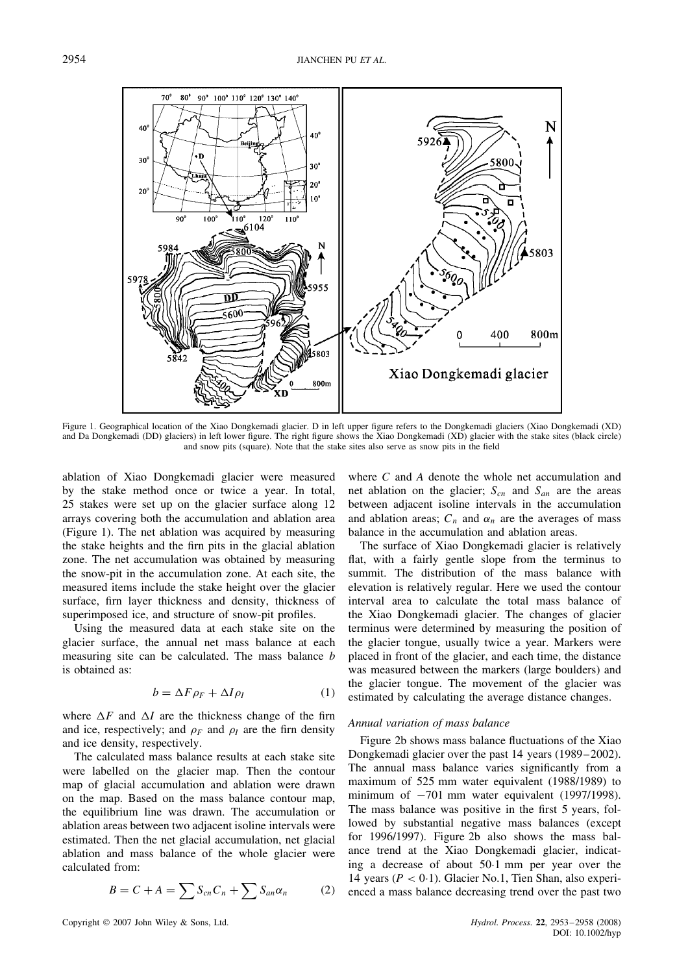

Figure 1. Geographical location of the Xiao Dongkemadi glacier. D in left upper figure refers to the Dongkemadi glaciers (Xiao Dongkemadi (XD) and Da Dongkemadi (DD) glaciers) in left lower figure. The right figure shows the Xiao Dongkemadi (XD) glacier with the stake sites (black circle) and snow pits (square). Note that the stake sites also serve as snow pits in the field

ablation of Xiao Dongkemadi glacier were measured by the stake method once or twice a year. In total, 25 stakes were set up on the glacier surface along 12 arrays covering both the accumulation and ablation area (Figure 1). The net ablation was acquired by measuring the stake heights and the firn pits in the glacial ablation zone. The net accumulation was obtained by measuring the snow-pit in the accumulation zone. At each site, the measured items include the stake height over the glacier surface, firn layer thickness and density, thickness of superimposed ice, and structure of snow-pit profiles.

Using the measured data at each stake site on the glacier surface, the annual net mass balance at each measuring site can be calculated. The mass balance b is obtained as:

$$
b = \Delta F \rho_F + \Delta I \rho_I \tag{1}
$$

where  $\Delta F$  and  $\Delta I$  are the thickness change of the firn and ice, respectively; and  $\rho_F$  and  $\rho_I$  are the firn density and ice density, respectively.

The calculated mass balance results at each stake site were labelled on the glacier map. Then the contour map of glacial accumulation and ablation were drawn on the map. Based on the mass balance contour map, the equilibrium line was drawn. The accumulation or ablation areas between two adjacent isoline intervals were estimated. Then the net glacial accumulation, net glacial ablation and mass balance of the whole glacier were calculated from:

$$
B = C + A = \sum S_{cn} C_n + \sum S_{an} \alpha_n \tag{2}
$$

where C and A denote the whole net accumulation and net ablation on the glacier;  $S_{cn}$  and  $S_{an}$  are the areas between adjacent isoline intervals in the accumulation and ablation areas;  $C_n$  and  $\alpha_n$  are the averages of mass balance in the accumulation and ablation areas.

The surface of Xiao Dongkemadi glacier is relatively flat, with a fairly gentle slope from the terminus to summit. The distribution of the mass balance with elevation is relatively regular. Here we used the contour interval area to calculate the total mass balance of the Xiao Dongkemadi glacier. The changes of glacier terminus were determined by measuring the position of the glacier tongue, usually twice a year. Markers were placed in front of the glacier, and each time, the distance was measured between the markers (large boulders) and the glacier tongue. The movement of the glacier was estimated by calculating the average distance changes.

### *Annual variation of mass balance*

Figure 2b shows mass balance fluctuations of the Xiao Dongkemadi glacier over the past 14 years (1989–2002). The annual mass balance varies significantly from a maximum of 525 mm water equivalent (1988/1989) to minimum of  $-701$  mm water equivalent (1997/1998). The mass balance was positive in the first 5 years, followed by substantial negative mass balances (except for 1996/1997). Figure 2b also shows the mass balance trend at the Xiao Dongkemadi glacier, indicating a decrease of about 50 $\cdot$ 1 mm per year over the 14 years ( $P < 0.1$ ). Glacier No.1, Tien Shan, also experienced a mass balance decreasing trend over the past two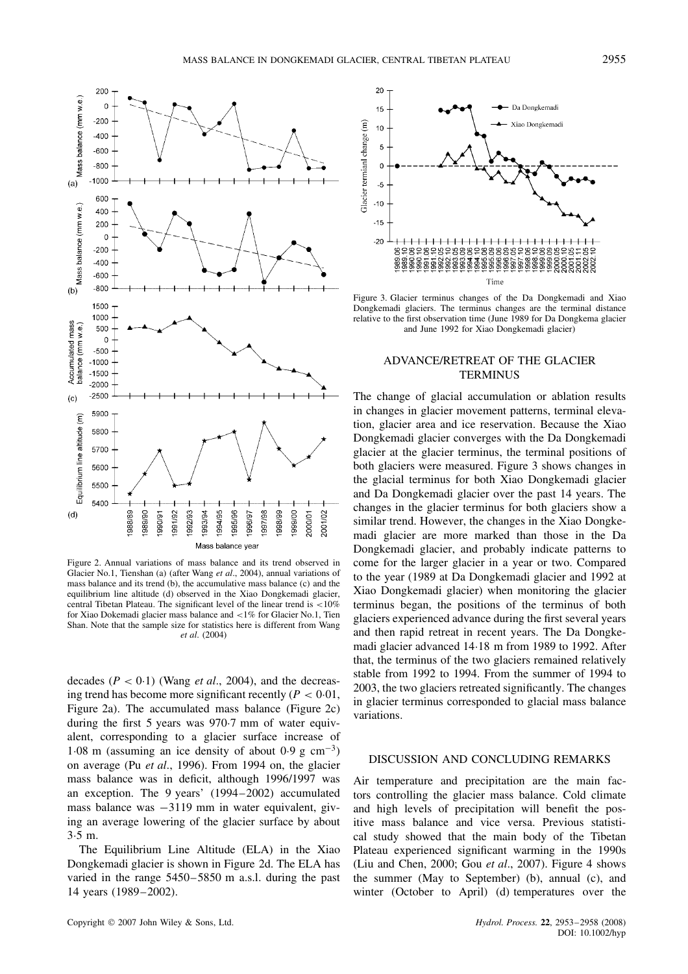

Figure 2. Annual variations of mass balance and its trend observed in Glacier No.1, Tienshan (a) (after Wang *et al*., 2004), annual variations of mass balance and its trend (b), the accumulative mass balance (c) and the equilibrium line altitude (d) observed in the Xiao Dongkemadi glacier, central Tibetan Plateau. The significant level of the linear trend is <10% for Xiao Dokemadi glacier mass balance and <1% for Glacier No.1, Tien Shan. Note that the sample size for statistics here is different from Wang *et al*. (2004)

decades  $(P < 0.1)$  (Wang *et al.*, 2004), and the decreasing trend has become more significant recently ( $P < 0.01$ , Figure 2a). The accumulated mass balance (Figure 2c) during the first 5 years was 970.7 mm of water equivalent, corresponding to a glacier surface increase of 1.08 m (assuming an ice density of about 0.9 g  $cm^{-3}$ ) on average (Pu *et al*., 1996). From 1994 on, the glacier mass balance was in deficit, although 1996/1997 was an exception. The 9 years' (1994–2002) accumulated mass balance was  $-3119$  mm in water equivalent, giving an average lowering of the glacier surface by about 3.5 m.

The Equilibrium Line Altitude (ELA) in the Xiao Dongkemadi glacier is shown in Figure 2d. The ELA has varied in the range 5450–5850 m a.s.l. during the past 14 years (1989–2002).



Figure 3. Glacier terminus changes of the Da Dongkemadi and Xiao Dongkemadi glaciers. The terminus changes are the terminal distance relative to the first observation time (June 1989 for Da Dongkema glacier and June 1992 for Xiao Dongkemadi glacier)

## ADVANCE/RETREAT OF THE GLACIER **TERMINUS**

The change of glacial accumulation or ablation results in changes in glacier movement patterns, terminal elevation, glacier area and ice reservation. Because the Xiao Dongkemadi glacier converges with the Da Dongkemadi glacier at the glacier terminus, the terminal positions of both glaciers were measured. Figure 3 shows changes in the glacial terminus for both Xiao Dongkemadi glacier and Da Dongkemadi glacier over the past 14 years. The changes in the glacier terminus for both glaciers show a similar trend. However, the changes in the Xiao Dongkemadi glacier are more marked than those in the Da Dongkemadi glacier, and probably indicate patterns to come for the larger glacier in a year or two. Compared to the year (1989 at Da Dongkemadi glacier and 1992 at Xiao Dongkemadi glacier) when monitoring the glacier terminus began, the positions of the terminus of both glaciers experienced advance during the first several years and then rapid retreat in recent years. The Da Dongkemadi glacier advanced 14 $\cdot$ 18 m from 1989 to 1992. After that, the terminus of the two glaciers remained relatively stable from 1992 to 1994. From the summer of 1994 to 2003, the two glaciers retreated significantly. The changes in glacier terminus corresponded to glacial mass balance variations.

## DISCUSSION AND CONCLUDING REMARKS

Air temperature and precipitation are the main factors controlling the glacier mass balance. Cold climate and high levels of precipitation will benefit the positive mass balance and vice versa. Previous statistical study showed that the main body of the Tibetan Plateau experienced significant warming in the 1990s (Liu and Chen, 2000; Gou *et al*., 2007). Figure 4 shows the summer (May to September) (b), annual (c), and winter (October to April) (d) temperatures over the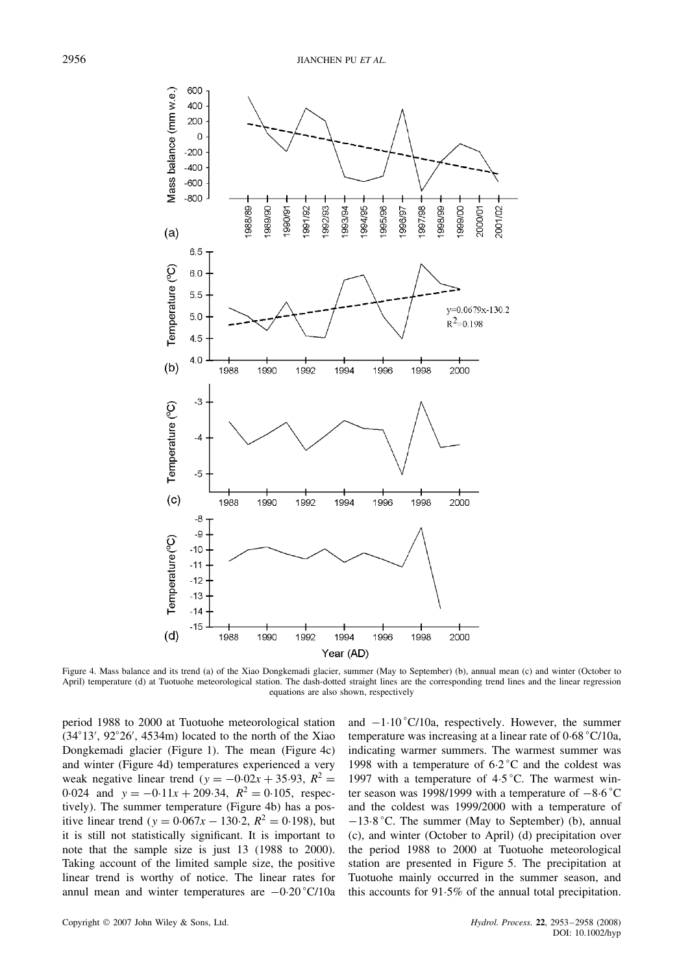

Figure 4. Mass balance and its trend (a) of the Xiao Dongkemadi glacier, summer (May to September) (b), annual mean (c) and winter (October to April) temperature (d) at Tuotuohe meteorological station. The dash-dotted straight lines are the corresponding trend lines and the linear regression equations are also shown, respectively

period 1988 to 2000 at Tuotuohe meteorological station  $(34^{\circ}13', 92^{\circ}26', 4534m)$  located to the north of the Xiao Dongkemadi glacier (Figure 1). The mean (Figure 4c) and winter (Figure 4d) temperatures experienced a very weak negative linear trend ( $y = -0.02x + 35.93$ ,  $R^2 =$ 0.024 and  $y = -0.11x + 209.34$ ,  $R^2 = 0.105$ , respectively). The summer temperature (Figure 4b) has a positive linear trend (y =  $0.067x - 130.2$ ,  $R^2 = 0.198$ ), but it is still not statistically significant. It is important to note that the sample size is just 13 (1988 to 2000). Taking account of the limited sample size, the positive linear trend is worthy of notice. The linear rates for annul mean and winter temperatures are  $-0.20 \degree C/10a$ 

and  $-1.10 \degree C/10a$ , respectively. However, the summer temperature was increasing at a linear rate of  $0.68 \degree C/10a$ , indicating warmer summers. The warmest summer was 1998 with a temperature of  $6.2^{\circ}$ C and the coldest was 1997 with a temperature of  $4.5^{\circ}$ C. The warmest winter season was 1998/1999 with a temperature of  $-8.6^{\circ}$ C and the coldest was 1999/2000 with a temperature of  $-13.8$  °C. The summer (May to September) (b), annual (c), and winter (October to April) (d) precipitation over the period 1988 to 2000 at Tuotuohe meteorological station are presented in Figure 5. The precipitation at Tuotuohe mainly occurred in the summer season, and this accounts for  $91.5\%$  of the annual total precipitation.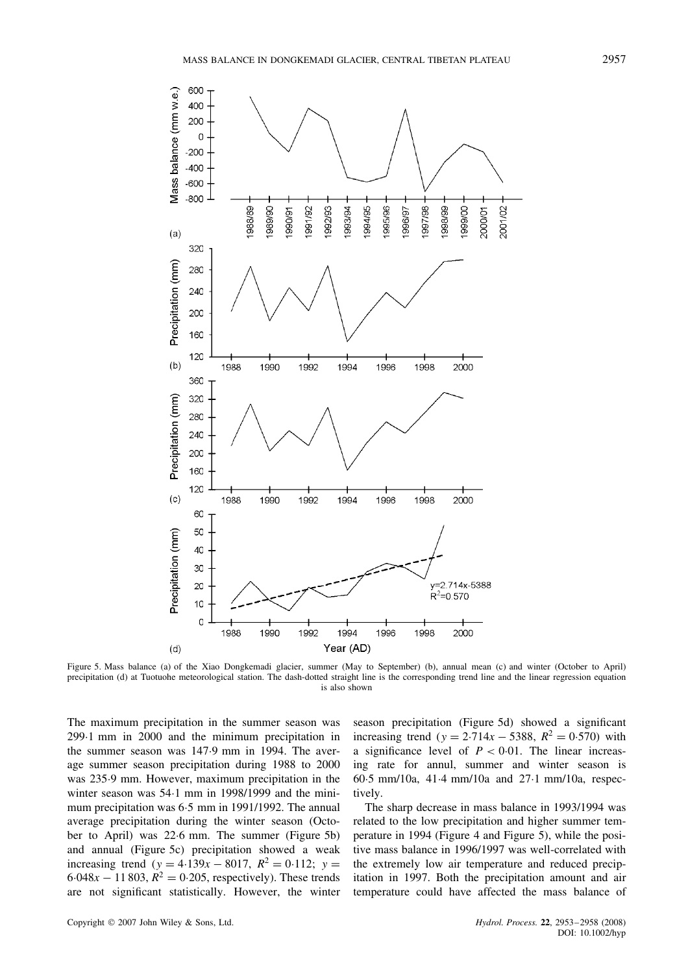

Figure 5. Mass balance (a) of the Xiao Dongkemadi glacier, summer (May to September) (b), annual mean (c) and winter (October to April) precipitation (d) at Tuotuohe meteorological station. The dash-dotted straight line is the corresponding trend line and the linear regression equation is also shown

The maximum precipitation in the summer season was 299 $-1$  mm in 2000 and the minimum precipitation in the summer season was 147.9 mm in 1994. The average summer season precipitation during 1988 to 2000 was 235.9 mm. However, maximum precipitation in the winter season was 54 $\cdot$ 1 mm in 1998/1999 and the minimum precipitation was 6.5 mm in 1991/1992. The annual average precipitation during the winter season (October to April) was 22.6 mm. The summer (Figure 5b) and annual (Figure 5c) precipitation showed a weak increasing trend (y = 4.139x – 8017,  $R^2 = 0.112$ ; y =  $6.048x - 11803$ ,  $R^2 = 0.205$ , respectively). These trends are not significant statistically. However, the winter

600

season precipitation (Figure 5d) showed a significant increasing trend (y =  $2.714x - 5388$ ,  $R^2 = 0.570$ ) with a significance level of  $P < 0.01$ . The linear increasing rate for annul, summer and winter season is 60 $-5$  mm/10a, 41 $-4$  mm/10a and 27 $-1$  mm/10a, respectively.

The sharp decrease in mass balance in 1993/1994 was related to the low precipitation and higher summer temperature in 1994 (Figure 4 and Figure 5), while the positive mass balance in 1996/1997 was well-correlated with the extremely low air temperature and reduced precipitation in 1997. Both the precipitation amount and air temperature could have affected the mass balance of